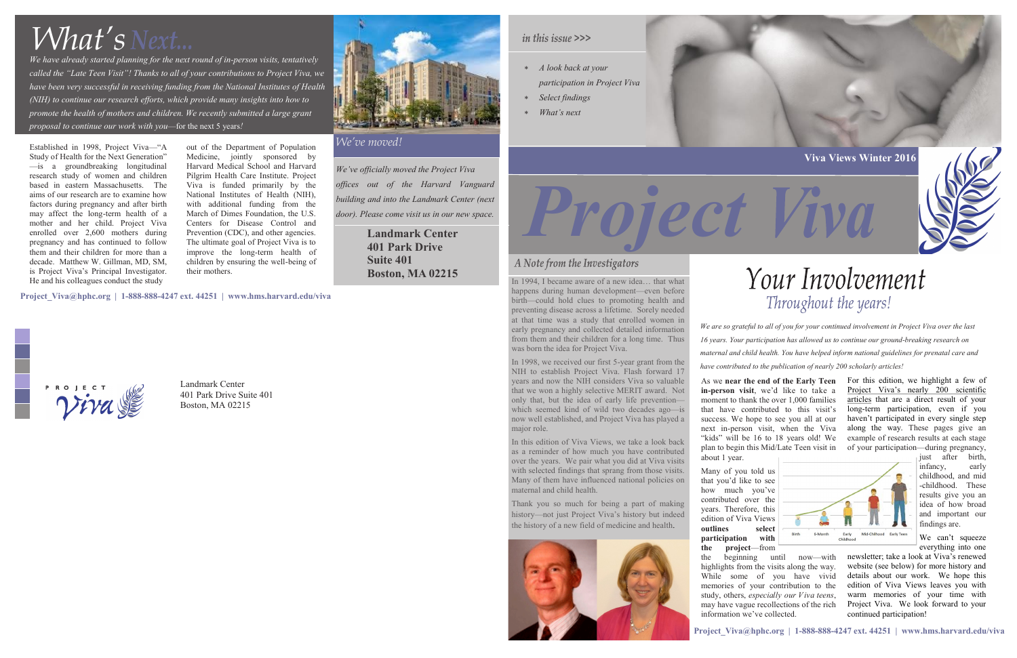Established in 1998, Project Viva—"A Study of Health for the Next Generation" —is a groundbreaking longitudinal research study of women and children based in eastern Massachusetts. The aims of our research are to examine how factors during pregnancy and after birth may affect the long-term health of a mother and her child. Project Viva enrolled over 2,600 mothers during pregnancy and has continued to follow them and their children for more than a decade. Matthew W. Gillman, MD, SM, is Project Viva's Principal Investigator. He and his colleagues conduct the study

> Landmark Center 401 Park Drive Suite 401 Boston, MA 02215



out of the Department of Population Medicine, jointly sponsored by Harvard Medical School and Harvard Pilgrim Health Care Institute. Project Viva is funded primarily by the National Institutes of Health (NIH), with additional funding from the March of Dimes Foundation, the U.S. Centers for Disease Control and Prevention (CDC), and other agencies. The ultimate goal of Project Viva is to improve the long-term health of children by ensuring the well-being of their mothers.

> In this edition of Viva Views, we take a look back as a reminder of how much you have contributed over the years. We pair what you did at Viva visits with selected findings that sprang from those visits. Many of them have influenced national policies on maternal and child health.

*We've officially moved the Project Viva offices out of the Harvard Vanguard building and into the Landmark Center (next door). Please come visit us in our new space.*

- *A look back at your*
- *participation in Project Viva*
- *Select findings*
- *What's next*

In 1994, I became aware of a new idea… that what happens during human development—even before birth—could hold clues to promoting health and preventing disease across a lifetime. Sorely needed at that time was a study that enrolled women in early pregnancy and collected detailed information from them and their children for a long time. Thus was born the idea for Project Viva.

In 1998, we received our first 5-year grant from the NIH to establish Project Viva. Flash forward 17 years and now the NIH considers Viva so valuable that we won a highly selective MERIT award. Not only that, but the idea of early life prevention which seemed kind of wild two decades ago—is now well established, and Project Viva has played a major role.

> We can't squeeze everything into one

Thank you so much for being a part of making history—not just Project Viva's history but indeed the history of a new field of medicine and health.



*We are so grateful to all of you for your continued involvement in Project Viva over the last 16 years. Your participation has allowed us to continue our ground-breaking research on maternal and child health. You have helped inform national guidelines for prenatal care and have contributed to the publication of nearly 200 scholarly articles!* 

*We have already started planning for the next round of in-person visits, tentatively called the "Late Teen Visit"! Thanks to all of your contributions to Project Viva, we have been very successful in receiving funding from the National Institutes of Health (NIH) to continue our research efforts, which provide many insights into how to promote the health of mothers and children. We recently submitted a large grant proposal to continue our work with you*—for the next 5 years*!*

# *What's*



## A Note from the Investigators

**[Project\\_Viva@hphc.org](mailto:Project_Viva@hphc.org) | 1-888-888-4247 ext. 44251 | [www.hms.harvard.edu/viva](http://www.hms.harvard.edu/viva)**









## Your Involvement Throughout the years!

## *We've moved!*

**[Project\\_Viva@hphc.org](mailto:Project_Viva@hphc.org) | 1-888-888-4247 ext. 44251 | [www.hms.harvard.edu/viva](http://www.hms.harvard.edu/viva)**

**Landmark Center 401 Park Drive Suite 401 Boston, MA 02215**

## in this issue >>>

As we **near the end of the Early Teen in-person visit**, we'd like to take a moment to thank the over 1,000 families that have contributed to this visit's success. We hope to see you all at our next in-person visit, when the Viva "kids" will be 16 to 18 years old! We plan to begin this Mid/Late Teen visit in

about 1 year.

Many of you told us that you'd like to see how much you've contributed over the years. Therefore, this edition of Viva Views **outlines select** Birth 6-Month **participation with the project**—from the beginning until now—with highlights from the visits along the way. While some of you have vivid memories of your contribution to the study, others, *especially our Viva teens*, may have vague recollections of the rich information we've collected.

For this edition, we highlight a few of Project Viva's nearly 200 scientific articles that are a direct result of your long-term participation, even if you haven't participated in every single step along the way. These pages give an example of research results at each stage of your participation—during pregnancy,



just after birth, infancy, early childhood, and mid -childhood. These results give you an idea of how broad and important our findings are.

newsletter; take a look at Viva's renewed website (see below) for more history and details about our work. We hope this edition of Viva Views leaves you with warm memories of your time with Project Viva. We look forward to your continued participation!